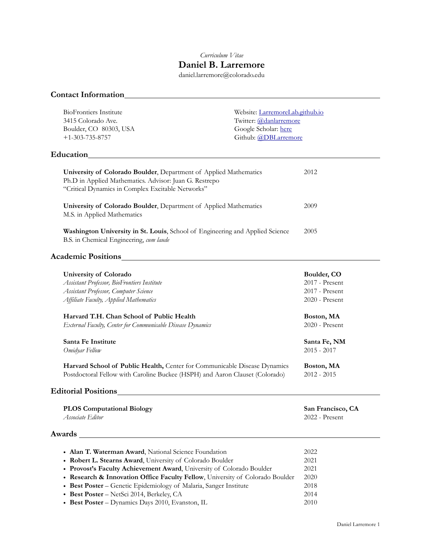# *Curriculum Vitae* **Daniel B. Larremore**

daniel.larremore@colorado.edu

# **Contact Information**

| <b>BioFrontiers Institute</b><br>3415 Colorado Ave.<br>Boulder, CO 80303, USA<br>$+1 - 303 - 735 - 8757$<br>Education                                                                                                                                                                                                                                                                                                                                                           | Website: LarremoreLab.github.io<br>Twitter: @danlarremore<br>Google Scholar: here<br>Github: @DBLarremore |                                                                                                                                                                   |
|---------------------------------------------------------------------------------------------------------------------------------------------------------------------------------------------------------------------------------------------------------------------------------------------------------------------------------------------------------------------------------------------------------------------------------------------------------------------------------|-----------------------------------------------------------------------------------------------------------|-------------------------------------------------------------------------------------------------------------------------------------------------------------------|
|                                                                                                                                                                                                                                                                                                                                                                                                                                                                                 |                                                                                                           |                                                                                                                                                                   |
| University of Colorado Boulder, Department of Applied Mathematics<br>Ph.D in Applied Mathematics. Advisor: Juan G. Restrepo<br>"Critical Dynamics in Complex Excitable Networks"                                                                                                                                                                                                                                                                                                |                                                                                                           | 2012                                                                                                                                                              |
| University of Colorado Boulder, Department of Applied Mathematics<br>M.S. in Applied Mathematics                                                                                                                                                                                                                                                                                                                                                                                |                                                                                                           | 2009                                                                                                                                                              |
| Washington University in St. Louis, School of Engineering and Applied Science<br>B.S. in Chemical Engineering, cum laude                                                                                                                                                                                                                                                                                                                                                        |                                                                                                           | 2005                                                                                                                                                              |
| <b>Academic Positions</b>                                                                                                                                                                                                                                                                                                                                                                                                                                                       |                                                                                                           |                                                                                                                                                                   |
| <b>University of Colorado</b><br>Assistant Professor, BioFrontiers Institute<br>Assistant Professor, Computer Science<br>Affiliate Faculty, Applied Mathematics<br>Harvard T.H. Chan School of Public Health<br>External Faculty, Center for Communicable Disease Dynamics<br>Santa Fe Institute<br>Omidyar Fellow<br>Harvard School of Public Health, Center for Communicable Disease Dynamics<br>Postdoctoral Fellow with Caroline Buckee (HSPH) and Aaron Clauset (Colorado) |                                                                                                           | Boulder, CO<br>2017 - Present<br>2017 - Present<br>2020 - Present<br>Boston, MA<br>2020 - Present<br>Santa Fe, NM<br>$2015 - 2017$<br>Boston, MA<br>$2012 - 2015$ |
| <b>Editorial Positions</b>                                                                                                                                                                                                                                                                                                                                                                                                                                                      |                                                                                                           |                                                                                                                                                                   |
| <b>PLOS Computational Biology</b><br>Associate Editor                                                                                                                                                                                                                                                                                                                                                                                                                           |                                                                                                           | San Francisco, CA<br>2022 - Present                                                                                                                               |
| Awards                                                                                                                                                                                                                                                                                                                                                                                                                                                                          |                                                                                                           |                                                                                                                                                                   |
| • Alan T. Waterman Award, National Science Foundation<br>• Robert L. Stearns Award, University of Colorado Boulder<br>• Provost's Faculty Achievement Award, University of Colorado Boulder<br>• Research & Innovation Office Faculty Fellow, University of Colorado Boulder<br>• Best Poster - Genetic Epidemiology of Malaria, Sanger Institute<br>• Best Poster - NetSci 2014, Berkeley, CA                                                                                  |                                                                                                           | 2022<br>2021<br>2021<br>2020<br>2018<br>2014                                                                                                                      |

• **Best Poster** – Dynamics Days 2010, Evanston, IL 2010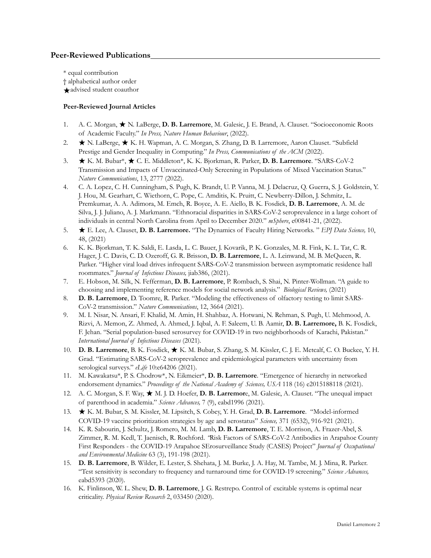## **Peer-Reviewed Publications**

\* equal contribution † alphabetical author order ★advised student coauthor

## **Peer-Reviewed Journal Articles**

- 1. A. C. Morgan, ★ N. LaBerge, **D. B. Larremore**, M. Galesic, J. E. Brand, A. Clauset. "Socioeconomic Roots of Academic Faculty." *In Press, Nature Human Behaviour*, (2022).
- 2. ★ N. LaBerge, ★ K. H. Wapman, A. C. Morgan, S. Zhang, D. B. Larremore, Aaron Clauset. "Subfield Prestige and Gender Inequality in Computing." *In Press, Communications of the ACM* (2022).
- 3. ★ K. M. Bubar\*, ★ C. E. Middleton\*, K. K. Bjorkman, R. Parker, **D. B. Larremore**. "SARS-CoV-2 Transmission and Impacts of Unvaccinated-Only Screening in Populations of Mixed Vaccination Status." *Nature Communications*, 13, 2777 (2022).
- 4. C. A. Lopez, C. H. Cunningham, S. Pugh, K. Brandt, U. P. Vanna, M. J. Delacruz, Q. Guerra, S. J. Goldstein, Y. J. Hou, M. Gearhart, C. Wiethorn, C. Pope, C. Amditis, K. Pruitt, C. Newberry-Dillon, J. Schmitz, L. Premkumar, A. A. Adimora, M. Emch, R. Boyce, A. E. Aiello, B. K. Fosdick, **D. B. Larremore**, A. M. de Silva, J. J. Juliano, A. J. Markmann. "Ethnoracial disparities in SARS-CoV-2 seroprevalence in a large cohort of individuals in central North Carolina from April to December 2020." *mSphere*, e00841-21, (2022)*.*
- 5. ★ E. Lee, A. Clauset, **D. B. Larremore.** "The Dynamics of Faculty Hiring Networks. " *EPJ Data Science,* 10, 48, (2021)
- 6. K. K. Bjorkman, T. K. Saldi, E. Lasda, L. C. Bauer, J. Kovarik, P. K. Gonzales, M. R. Fink, K. L. Tat, C. R. Hager, J. C. Davis, C. D. Ozeroff, G. R. Brisson, **D. B. Larremore**, L. A. Leinwand, M. B. McQueen, R. Parker. "Higher viral load drives infrequent SARS-CoV-2 transmission between asymptomatic residence hall roommates." *Journal of Infectious Diseases,* jiab386, (2021).
- 7. E. Hobson, M. Silk, N. Fefferman, **D. B. Larremore**, P. Rombach, S. Shai, N. Pinter-Wollman. "A guide to choosing and implementing reference models for social network analysis." *Biological Reviews,* (2021)
- 8. **D. B. Larremore**, D. Toomre, R. Parker. "Modeling the effectiveness of olfactory testing to limit SARS-CoV-2 transmission." *Nature Communications*, 12, 3664 (2021).
- 9. M. I. Nisar, N. Ansari, F. Khalid, M. Amin, H. Shahbaz, A. Hotwani, N. Rehman, S. Pugh, U. Mehmood, A. Rizvi, A. Memon, Z. Ahmed, A. Ahmed, J. Iqbal, A. F. Saleem, U. B. Aamir, **D. B. Larremore,** B. K. Fosdick, F. Jehan. "Serial population-based serosurvey for COVID-19 in two neighborhoods of Karachi, Pakistan." *International Journal of Infectious Diseases* (2021)*.*
- 10. **D. B. Larremore**, B. K. Fosdick, ★ K. M. Bubar, S. Zhang, S. M. Kissler, C. J. E. Metcalf, C. O. Buckee, Y. H. Grad. "Estimating SARS-CoV-2 seroprevalence and epidemiological parameters with uncertainty from serological surveys." *eLife* 10:e64206 (2021).
- 11. M. Kawakatsu\*, P. S. Chodrow\*, N. Eikmeier\*, **D. B. Larremore**. "Emergence of hierarchy in networked endorsement dynamics." Proceedings of the National Academy of Sciences, USA 118 (16) e2015188118 (2021).
- 12. A. C. Morgan, S. F. Way, ★ M. J. D. Hoefer, **D. B. Larremor**e, M. Galesic, A. Clauset. "The unequal impact of parenthood in academia." *Science Advances,* 7 (9), eabd1996 (2021).
- 13. ★ K. M. Bubar, S. M. Kissler, M. Lipsitch, S. Cobey, Y. H. Grad, **D. B. Larremore**. "Model-informed COVID-19 vaccine prioritization strategies by age and serostatus" *Science,* 371 (6532), 916-921 (2021).
- 14. K. R. Sabourin, J. Schultz, J. Romero, M. M. Lamb, **D. B. Larremore**, T. E. Morrison, A. Frazer-Abel, S. Zimmer, R. M. Kedl, T. Jaenisch, R. Rochford. *"*Risk Factors of SARS-CoV-2 Antibodies in Arapahoe County First Responders - the COVID-19 Arapahoe SErosurveillance Study (CASES) Project" *Journal of Occupational and Environmental Medicine* 63 (3), 191-198 (2021).
- 15. **D. B. Larremore**, B. Wilder, E. Lester, S. Shehata, J. M. Burke, J. A. Hay, M. Tambe, M. J. Mina, R. Parker. "Test sensitivity is secondary to frequency and turnaround time for COVID-19 screening." *Science Advances,* eabd5393 (2020).
- 16. K. Finlinson, W. L. Shew, **D. B. Larremore**, J. G. Restrepo. Control of excitable systems is optimal near criticality. *Physical Review Research* 2, 033450 (2020).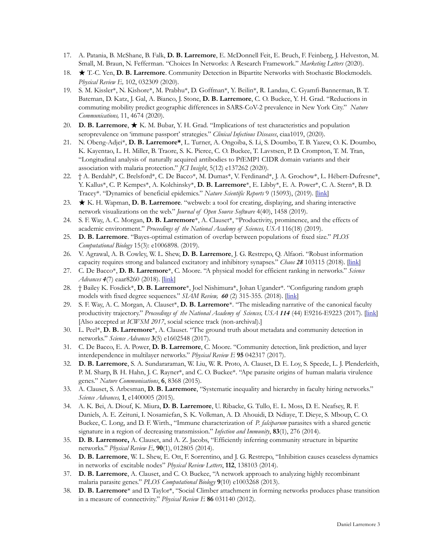- 17. A. Patania, B. McShane, B. Falk, **D. B. Larremore**, E. McDonnell Feit, E. Bruch, F. Feinberg, J. Helveston, M. Small, M. Braun, N. Fefferman. "Choices In Networks: A Research Framework." *Marketing Letters* (2020).
- 18. ★ T.-C. Yen, **D. B. Larremore**. Community Detection in Bipartite Networks with Stochastic Blockmodels. *Physical Review E,* 102, 032309 (2020).
- 19. S. M. Kissler\*, N. Kishore\*, M. Prabhu\*, D. Goffman\*, Y. Beilin\*, R. Landau, C. Gyamfi-Bannerman, B. T. Bateman, D. Katz, J. Gal, A. Bianco, J. Stone, **D. B. Larremore**, C. O. Buckee, Y. H. Grad. "Reductions in commuting mobility predict geographic differences in SARS-CoV-2 prevalence in New York City." *Nature Communications,* 11, 4674 (2020).
- 20. **D. B. Larremore**, ★ K. M. Bubar, Y. H. Grad. "Implications of test characteristics and population seroprevalence on 'immune passport' strategies." *Clinical Infectious Diseases*, ciaa1019, (2020).
- 21. N. Obeng-Adjei\*, **D. B. Larremore\***, L. Turner, A. Ongoiba, S. Li, S. Doumbo, T. B. Yazew, O. K. Doumbo, K. Kayentao, L. H. Miller, B. Traore, S. K. Pierce, C. O. Buckee, T. Lavstsen, P. D. Crompton, T. M. Tran, "Longitudinal analysis of naturally acquired antibodies to PfEMP1 CIDR domain variants and their association with malaria protection." *JCI Insight*, 5(12) e137262 (2020).
- 22. † A. Berdahl\*, C. Brelsford\*, C. De Bacco\*, M. Dumas\*, V. Ferdinand\*, J. A. Grochow\*, L. Hébert-Dufresne\*, Y. Kallus\*, C. P. Kempes\*, A. Kolchinsky\*, **D. B. Larremore**\*, E. Libby\*, E. A. Power\*, C. A. Stern\*, B. D. Tracey\*. "Dynamics of beneficial epidemics." *Nature Scientific Reports* 9 (15093), (2019). [*[link](https://www.nature.com/articles/s41598-019-50039-w)*]
- 23. ★ K. H. Wapman, **D. B. Larremore**. "webweb: a tool for creating, displaying, and sharing interactive network visualizations on the web." *Journal of Open Source Software* 4(40), 1458 (2019).
- 24. S. F. Way, A. C. Morgan, **D. B. Larremore**\*, A. Clauset\*, "Productivity, prominence, and the effects of academic environment." *Proceedings of the National Academy of Sciences, USA* 116(18) (2019).
- 25. **D. B. Larremore**. "Bayes-optimal estimation of overlap between populations of fixed size." *PLOS Computational Biology* 15(3): e1006898. (2019).
- 26. V. Agrawal, A. B. Cowley, W. L. Shew, **D. B. Larremore**, J. G. Restrepo, Q. Alfaori. "Robust information capacity requires strong and balanced excitatory and inhibitory synapses." *Chaos 28* 103115 (2018). [[link](https://aip.scitation.org/doi/10.1063/1.5043429)]
- 27. C. De Bacco\*, **D. B. Larremore**\*, C. Moore. "A physical model for efficient ranking in networks." *Science Advances* **4**(7) eaar8260 (2018). [[link](http://advances.sciencemag.org/content/4/7/eaar8260)]
- 28. † Bailey K. Fosdick\*, **D. B. Larremore**\*, Joel Nishimura\*, Johan Ugander\*. "Configuring random graph models with fixed degree sequences." *SIAM Review, 60* (2) 315-355*.* (2018). [[link\]](https://epubs.siam.org/doi/abs/10.1137/16M1087175)
- 29. S. F. Way, A. C. Morgan, A. Clauset\*, **D. B. Larremore**\*. "The misleading narrative of the canonical faculty productivity trajectory." Proceedings of the National Academy of Sciences, USA **114** (44) E9216-E9223 (2017). [\[link\]](http://www.pnas.org/content/114/44/E9216.abstract) [Also accepted at *ICWSM 2017*, social science track (non-archival).]
- 30. L. Peel\*, **D. B. Larremore**\*, A. Clauset. "The ground truth about metadata and community detection in networks." *Science Advances* **3**(5) e1602548 (2017).
- 31. C. De Bacco, E. A. Power, **D. B. Larremore**, C. Moore. "Community detection, link prediction, and layer interdependence in multilayer networks." *Physical Review E* **95** 042317 (2017).
- 32. **D. B. Larremore**, S. A. Sundararaman, W. Liu, W. R. Proto, A. Clauset, D. E. Loy, S. Speede, L. J. Plenderleith, P. M. Sharp, B. H. Hahn, J. C. Rayner\*, and C. O. Buckee\*. "Ape parasite origins of human malaria virulence genes." *Nature Communications*, **6**, 8368 (2015).
- 33. A. Clauset, S. Arbesman, **D. B. Larremore**, "Systematic inequality and hierarchy in faculty hiring networks." *Science Advances,* **1**, e1400005 (2015).
- 34. A. K. Bei, A. Diouf, K. Miura, **D. B. Larremore**, U. Ribacke, G. Tullo, E. L. Moss, D. E. Neafsey, R. F. Daniels, A. E. Zeituni, I. Nosamiefan, S. K. Volkman, A. D. Ahouidi, D. Ndiaye, T. Dieye, S. Mboup, C. O. Buckee, C. Long, and D. F. Wirth., "Immune characterization of *P. falciparum* parasites with a shared genetic signature in a region of decreasing transmission." *Infection and Immunity*, **83**(1), 276 (2014).
- 35. **D. B. Larremore,** A. Clauset, and A. Z. Jacobs, "Efficiently inferring community structure in bipartite networks." *Physical Review E,* **90**(1), 012805 (2014).
- 36. **D. B. Larremore**, W. L. Shew, E. Ott, F. Sorrentino, and J. G. Restrepo, "Inhibition causes ceaseless dynamics in networks of excitable nodes" *Physical Review Letters*, **112**, 138103 (2014).
- 37. **D. B. Larremore**, A. Clauset, and C. O. Buckee, "A network approach to analyzing highly recombinant malaria parasite genes." *PLOS Computational Biology* **9**(10) e1003268 (2013).
- 38. **D. B. Larremore**\* and D. Taylor\*, "Social Climber attachment in forming networks produces phase transition in a measure of connectivity." *Physical Review E* **86** 031140 (2012).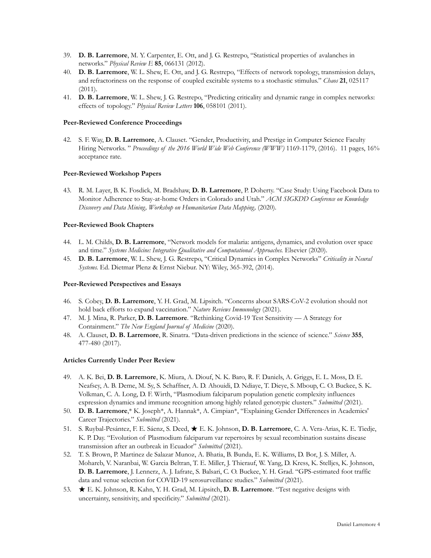- 39. **D. B. Larremore**, M. Y. Carpenter, E. Ott, and J. G. Restrepo, "Statistical properties of avalanches in networks." *Physical Review E* **85**, 066131 (2012).
- 40. **D. B. Larremore**, W. L. Shew, E. Ott, and J. G. Restrepo, "Effects of network topology, transmission delays, and refractoriness on the response of coupled excitable systems to a stochastic stimulus." *Chaos* **21**, 025117 (2011).
- 41. **D. B. Larremore**, W. L. Shew, J. G. Restrepo, "Predicting criticality and dynamic range in complex networks: effects of topology." *Physical Review Letters* **106**, 058101 (2011).

### **Peer-Reviewed Conference Proceedings**

42. S. F. Way, **D. B. Larremore**, A. Clauset. "Gender, Productivity, and Prestige in Computer Science Faculty Hiring Networks. " *Proceedings of the 2016 World Wide Web Conference (WWW)* 1169-1179, (2016). 11 pages, 16% acceptance rate.

#### **Peer-Reviewed Workshop Papers**

43. R. M. Layer, B. K. Fosdick, M. Bradshaw, **D. B. Larremore**, P. Doherty. "Case Study: Using Facebook Data to Monitor Adherence to Stay-at-home Orders in Colorado and Utah." *ACM SIGKDD Conference on Knowledge Discovery and Data Mining, Workshop on Humanitarian Data Mapping,* (2020)*.*

#### **Peer-Reviewed Book Chapters**

- 44. L. M. Childs, **D. B. Larremore**, "Network models for malaria: antigens, dynamics, and evolution over space and time." *Systems Medicine: Integrative Qualitative and Computational Approaches.* Elsevier (2020).
- 45. **D. B. Larremore**, W. L. Shew, J. G. Restrepo, "Critical Dynamics in Complex Networks" *Criticality in Neural Systems.* Ed. Dietmar Plenz & Ernst Niebur. NY: Wiley, 365-392, (2014).

#### **Peer-Reviewed Perspectives and Essays**

- 46. S. Cobey, **D. B. Larremore**, Y. H. Grad, M. Lipsitch. "Concerns about SARS-CoV-2 evolution should not hold back efforts to expand vaccination." *Nature Reviews Immunology* (2021)*.*
- 47. M. J. Mina, R. Parker, **D. B. Larremore**. "Rethinking Covid-19 Test Sensitivity A Strategy for Containment." *The New England Journal of Medicine* (2020).
- 48. A. Clauset, **D. B. Larremore**, R. Sinatra. "Data-driven predictions in the science of science." *Science* **355**, 477-480 (2017).

#### **Articles Currently Under Peer Review**

- 49. A. K. Bei, **D. B. Larremore**, K. Miura, A. Diouf, N. K. Baro, R. F. Daniels, A. Griggs, E. L. Moss, D. E. Neafsey, A. B. Deme, M. Sy, S. Schaffner, A. D. Ahouidi, D. Ndiaye, T. Dieye, S. Mboup, C. O. Buckee, S. K. Volkman, C. A. Long, D. F. Wirth, "Plasmodium falciparum population genetic complexity influences expression dynamics and immune recognition among highly related genotypic clusters." *Submitted* (2021).
- 50. **D. B. Larremore**,\* K. Joseph\*, A. Hannak\*, A. Cimpian\*, "Explaining Gender Differences in Academics' Career Trajectories." *Submitted* (2021).
- 51. S. Ruybal-Pesántez, F. E. Sáenz, S. Deed, ★ E. K. Johnson, **D. B. Larremore**, C. A. Vera-Arias, K. E. Tiedje, K. P. Day. "Evolution of Plasmodium falciparum var repertoires by sexual recombination sustains disease transmission after an outbreak in Ecuador" *Submitted* (2021).
- 52. T. S. Brown, P. Martinez de Salazar Munoz, A. Bhatia, B. Bunda, E. K. Williams, D. Bor, J. S. Miller, A. Mohareb, V. Naranbai, W. Garcia Beltran, T. E. Miller, J. Thierauf, W. Yang, D. Kress, K. Stelljes, K. Johnson, **D. B. Larremore**, J. Lennerz, A. J. Iafrate, S. Balsari, C. O. Buckee, Y. H. Grad. "GPS-estimated foot traffic data and venue selection for COVID-19 serosurveillance studies." *Submitted* (2021)*.*
- 53. ★ E. K. Johnson, R. Kahn, Y. H. Grad, M. Lipsitch, **D. B. Larremore**. "Test negative designs with uncertainty, sensitivity, and specificity." *Submitted* (2021).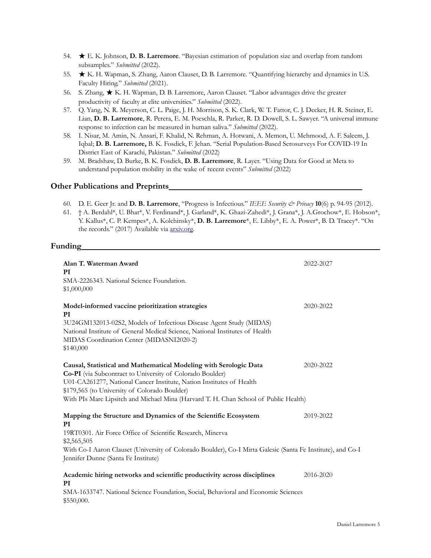- 54. ★ E. K. Johnson, **D. B. Larremore**. "Bayesian estimation of population size and overlap from random subsamples." *Submitted* (2022).
- 55. ★ K. H. Wapman, S. Zhang, Aaron Clauset, D. B. Larremore. "Quantifying hierarchy and dynamics in U.S. Faculty Hiring." *Submitted* (2021).
- 56. S. Zhang, ★ K. H. Wapman, D. B. Larremore, Aaron Clauset. "Labor advantages drive the greater productivity of faculty at elite universities." *Submitted* (2022).
- 57. Q. Yang, N. R. Meyerson, C. L. Paige, J. H. Morrison, S. K. Clark, W. T. Fattor, C. J. Decker, H. R. Steiner, E. Lian, **D. B. Larremore**, R. Perera, E. M. Poeschla, R. Parker, R. D. Dowell, S. L. Sawyer. "A universal immune response to infection can be measured in human saliva." *Submitted* (2022).
- 58. I. Nisar, M. Amin, N. Ansari, F. Khalid, N. Rehman, A. Hotwani, A. Memon, U. Mehmood, A. F. Saleem, J. Iqbal; **D. B. Larremore,** B. K. Fosdick, F. Jehan. "Serial Population-Based Serosurveys For COVID-19 In District East of Karachi, Pakistan." *Submitted* (2022)
- 59. M. Bradshaw, D. Burke, B. K. Fosdick, **D. B. Larremore**, R. Layer. "Using Data for Good at Meta to understand population mobility in the wake of recent events" *Submitted* (2022)

### **Other Publications and Preprints**

- 60. D. E. Geer Jr. and **D. B. Larremore**, "Progress is Infectious." *IEEE Security & Privacy* **10**(6) p. 94-95 (2012).
- 61. † A. Berdahl\*, U. Bhat\*, V. Ferdinand\*, J. Garland\*, K. Ghazi-Zahedi\*, J. Grana\*, J. A.Grochow\*, E. Hobson\*, Y. Kallus\*, C. P. Kempes\*, A. Kolchinsky\*, **D. B. Larremore**\*, E. Libby\*, E. A. Power\*, B. D. Tracey\*. "On the records." (2017) Available via **arxiv.org**.

## **Funding**

| Alan T. Waterman Award<br>PI<br>SMA-2226343. National Science Foundation.<br>\$1,000,000                                                                                                                                                                                                                                                        | 2022-2027 |
|-------------------------------------------------------------------------------------------------------------------------------------------------------------------------------------------------------------------------------------------------------------------------------------------------------------------------------------------------|-----------|
| Model-informed vaccine prioritization strategies<br>PI<br>3U24GM132013-02S2, Models of Infectious Disease Agent Study (MIDAS)<br>National Institute of General Medical Science, National Institutes of Health<br>MIDAS Coordination Center (MIDASNI2020-2)<br>\$140,000                                                                         | 2020-2022 |
| Causal, Statistical and Mathematical Modeling with Serologic Data<br>Co-PI (via Subcontract to University of Colorado Boulder)<br>U01-CA261277, National Cancer Institute, Nation Institutes of Health<br>\$179,565 (to University of Colorado Boulder)<br>With PIs Marc Lipsitch and Michael Mina (Harvard T. H. Chan School of Public Health) | 2020-2022 |
| Mapping the Structure and Dynamics of the Scientific Ecosystem<br>2019-2022<br>PI<br>19RT0301. Air Force Office of Scientific Research, Minerva<br>\$2,565,505<br>With Co-I Aaron Clauset (University of Colorado Boulder), Co-I Mirta Galesic (Santa Fe Institute), and Co-I<br>Jennifer Dunne (Santa Fe Institute)                            |           |
| Academic hiring networks and scientific productivity across disciplines<br>PI<br>SMA-1633747. National Science Foundation, Social, Behavioral and Economic Sciences<br>\$550,000.                                                                                                                                                               | 2016-2020 |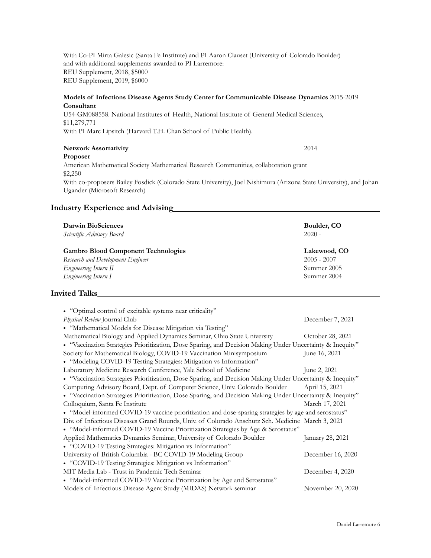With Co-PI Mirta Galesic (Santa Fe Institute) and PI Aaron Clauset (University of Colorado Boulder) and with additional supplements awarded to PI Larremore: REU Supplement, 2018, \$5000 REU Supplement, 2019, \$6000

## **Models of Infections Disease Agents Study Center for Communicable Disease Dynamics** 2015-2019 **Consultant**

U54-GM088558. National Institutes of Health, National Institute of General Medical Sciences, \$11,279,771 With PI Marc Lipsitch (Harvard T.H. Chan School of Public Health).

## **Network Assortativity** 2014

**Proposer** American Mathematical Society Mathematical Research Communities, collaboration grant \$2,250 With co-proposers Bailey Fosdick (Colorado State University), Joel Nishimura (Arizona State University), and Johan Ugander (Microsoft Research)

## **Industry Experience and Advising**

| Darwin BioSciences                         | Boulder, CO   |
|--------------------------------------------|---------------|
| Scientific Advisory Board                  | $2020 -$      |
| <b>Gambro Blood Component Technologies</b> | Lakewood, CO  |
| Research and Development Engineer          | $2005 - 2007$ |
| Engineering Intern II                      | Summer 2005   |
| Engineering Intern I                       | Summer 2004   |

## **Invited Talks**

| • "Optimal control of excitable systems near criticality"                                                 |                   |
|-----------------------------------------------------------------------------------------------------------|-------------------|
| Physical Review Journal Club                                                                              | December 7, 2021  |
| • "Mathematical Models for Disease Mitigation via Testing"                                                |                   |
| Mathematical Biology and Applied Dynamics Seminar, Ohio State University                                  | October 28, 2021  |
| · "Vaccination Strategies Prioritization, Dose Sparing, and Decision Making Under Uncertainty & Inequity" |                   |
| Society for Mathematical Biology, COVID-19 Vaccination Minisymposium                                      | June 16, 2021     |
| • "Modeling COVID-19 Testing Strategies: Mitigation vs Information"                                       |                   |
| Laboratory Medicine Research Conference, Yale School of Medicine                                          | June 2, 2021      |
| • "Vaccination Strategies Prioritization, Dose Sparing, and Decision Making Under Uncertainty & Inequity" |                   |
| Computing Advisory Board, Dept. of Computer Science, Univ. Colorado Boulder                               | April 15, 2021    |
| · "Vaccination Strategies Prioritization, Dose Sparing, and Decision Making Under Uncertainty & Inequity" |                   |
| Colloquium, Santa Fe Institute                                                                            | March 17, 2021    |
| • "Model-informed COVID-19 vaccine prioritization and dose-sparing strategies by age and serostatus"      |                   |
| Div. of Infectious Diseases Grand Rounds, Univ. of Colorado Anschutz Sch. Medicine March 3, 2021          |                   |
| • "Model-informed COVID-19 Vaccine Prioritization Strategies by Age & Serostatus"                         |                   |
| Applied Mathematics Dynamics Seminar, University of Colorado Boulder                                      | January 28, 2021  |
| • "COVID-19 Testing Strategies: Mitigation vs Information"                                                |                   |
| University of British Columbia - BC COVID-19 Modeling Group                                               | December 16, 2020 |
| • "COVID-19 Testing Strategies: Mitigation vs Information"                                                |                   |
| MIT Media Lab - Trust in Pandemic Tech Seminar                                                            | December 4, 2020  |
| • "Model-informed COVID-19 Vaccine Prioritization by Age and Serostatus"                                  |                   |
|                                                                                                           |                   |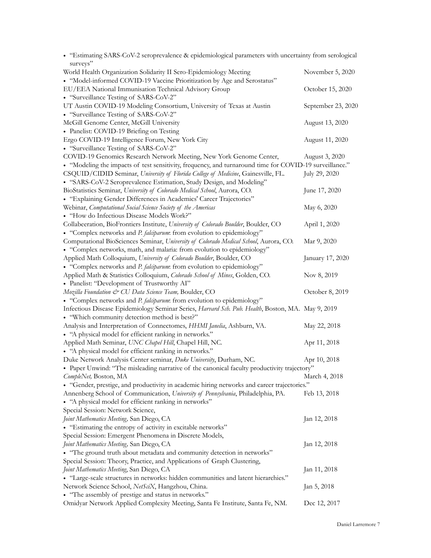| • "Estimating SARS-CoV-2 seroprevalence & epidemiological parameters with uncertainty from serological  |                    |
|---------------------------------------------------------------------------------------------------------|--------------------|
| surveys"                                                                                                |                    |
| World Health Organization Solidarity II Sero-Epidemiology Meeting                                       | November 5, 2020   |
| • "Model-informed COVID-19 Vaccine Prioritization by Age and Serostatus"                                |                    |
| EU/EEA National Immunisation Technical Advisory Group                                                   | October 15, 2020   |
| • "Surveillance Testing of SARS-CoV-2"                                                                  |                    |
| UT Austin COVID-19 Modeling Consortium, University of Texas at Austin                                   | September 23, 2020 |
| • "Surveillance Testing of SARS-CoV-2"                                                                  |                    |
| McGill Genome Center, McGill University                                                                 | August 13, 2020    |
| • Panelist: COVID-19 Briefing on Testing                                                                |                    |
| Ergo COVID-19 Intelligence Forum, New York City                                                         | August 11, 2020    |
| • "Surveillance Testing of SARS-CoV-2"                                                                  |                    |
| COVID-19 Genomics Research Network Meeting, New York Genome Center,                                     | August 3, 2020     |
| • "Modeling the impacts of test sensitivity, frequency, and turnaround time for COVID-19 surveillance." |                    |
| CSQUID/CIDID Seminar, University of Florida College of Medicine, Gainesville, FL.                       | July 29, 2020      |
| • "SARS-CoV-2 Seroprevalence Estimation, Study Design, and Modeling"                                    |                    |
| BioStatistics Seminar, University of Colorado Medical School, Aurora, CO.                               |                    |
|                                                                                                         | June 17, 2020      |
| • "Explaining Gender Differences in Academics' Career Trajectories"                                     |                    |
| Webinar, Computational Social Science Society of the Americas                                           | May 6, 2020        |
| • "How do Infectious Disease Models Work?"                                                              |                    |
| Collabeeration, BioFrontiers Institute, University of Colorado Boulder, Boulder, CO                     | April 1, 2020      |
| • "Complex networks and P. falciparum: from evolution to epidemiology"                                  |                    |
| Computational BioSciences Seminar, University of Colorado Medical School, Aurora, CO.                   | Mar 9, 2020        |
| • "Complex networks, math, and malaria: from evolution to epidemiology"                                 |                    |
| Applied Math Colloquium, University of Colorado Boulder, Boulder, CO                                    | January 17, 2020   |
| • "Complex networks and P. falciparum: from evolution to epidemiology"                                  |                    |
| Applied Math & Statistics Colloquium, Colorado School of Mines, Golden, CO.                             | Nov 8, 2019        |
| • Panelist: "Development of Trustworthy AI"                                                             |                    |
| Mozilla Foundation & CU Data Science Team, Boulder, CO                                                  | October 8, 2019    |
| • "Complex networks and P. falciparum: from evolution to epidemiology"                                  |                    |
| Infectious Disease Epidemiology Seminar Series, Harvard Sch. Pub. Health, Boston, MA. May 9, 2019       |                    |
| • "Which community detection method is best?"                                                           |                    |
| Analysis and Interpretation of Connectomes, HHMI Janelia, Ashburn, VA.                                  | May 22, 2018       |
| • "A physical model for efficient ranking in networks."                                                 |                    |
| Applied Math Seminar, UNC Chapel Hill, Chapel Hill, NC.                                                 | Apr 11, 2018       |
| • "A physical model for efficient ranking in networks."                                                 |                    |
| Duke Network Analysis Center seminar, Duke University, Durham, NC.                                      | Apr 10, 2018       |
| · Paper Unwind: "The misleading narrative of the canonical faculty productivity trajectory"             |                    |
| CompleNet, Boston, MA                                                                                   | March 4, 2018      |
| • "Gender, prestige, and productivity in academic hiring networks and career trajectories."             |                    |
| Annenberg School of Communication, University of Pennsylvania, Philadelphia, PA.                        | Feb 13, 2018       |
| • "A physical model for efficient ranking in networks"                                                  |                    |
| Special Session: Network Science,                                                                       |                    |
|                                                                                                         |                    |
| Joint Mathematics Meeting, San Diego, CA                                                                | Jan 12, 2018       |
| • "Estimating the entropy of activity in excitable networks"                                            |                    |
| Special Session: Emergent Phenomena in Discrete Models,                                                 |                    |
| Joint Mathematics Meeting, San Diego, CA                                                                | Jan 12, 2018       |
| • "The ground truth about metadata and community detection in networks"                                 |                    |
| Special Session: Theory, Practice, and Applications of Graph Clustering,                                |                    |
| Joint Mathematics Meeting, San Diego, CA                                                                | Jan 11, 2018       |
| • "Large-scale structures in networks: hidden communities and latent hierarchies."                      |                    |
| Network Science School, NetSciX, Hangzhou, China.                                                       | Jan 5, 2018        |
| • "The assembly of prestige and status in networks."                                                    |                    |
| Omidyar Network Applied Complexity Meeting, Santa Fe Institute, Santa Fe, NM.                           | Dec 12, 2017       |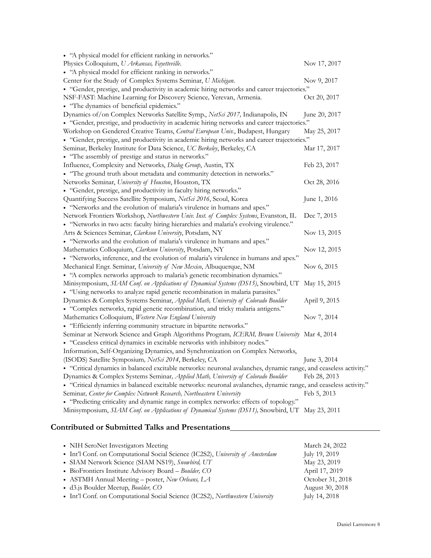| • "A physical model for efficient ranking in networks."                                                           |               |
|-------------------------------------------------------------------------------------------------------------------|---------------|
| Physics Colloquium, U Arkansas, Fayetteville.                                                                     | Nov 17, 2017  |
| • "A physical model for efficient ranking in networks."                                                           |               |
| Center for the Study of Complex Systems Seminar, U Michigan.                                                      | Nov 9, 2017   |
| • "Gender, prestige, and productivity in academic hiring networks and career trajectories."                       |               |
| NSF-FAST: Machine Learning for Discovery Science, Yerevan, Armenia.                                               | Oct 20, 2017  |
| • "The dynamics of beneficial epidemics."                                                                         |               |
| Dynamics of/on Complex Networks Satellite Symp., NetSci 2017, Indianapolis, IN                                    | June 20, 2017 |
| • "Gender, prestige, and productivity in academic hiring networks and career trajectories."                       |               |
| Workshop on Gendered Creative Teams, Central European Univ., Budapest, Hungary                                    | May 25, 2017  |
| • "Gender, prestige, and productivity in academic hiring networks and career trajectories."                       |               |
| Seminar, Berkeley Institute for Data Science, UC Berkeley, Berkeley, CA                                           | Mar 17, 2017  |
| • "The assembly of prestige and status in networks."                                                              |               |
| Influence, Complexity and Networks, Dialog Group, Austin, TX                                                      | Feb 23, 2017  |
| • "The ground truth about metadata and community detection in networks."                                          |               |
| Networks Seminar, University of Houston, Houston, TX                                                              | Oct 28, 2016  |
| • "Gender, prestige, and productivity in faculty hiring networks."                                                |               |
| Quantifying Success Satellite Symposium, NetSci 2016, Seoul, Korea                                                | June 1, 2016  |
| • "Networks and the evolution of malaria's virulence in humans and apes."                                         |               |
| Network Frontiers Workshop, Northwestern Univ. Inst. of Complex Systems, Evanston, IL                             | Dec 7, 2015   |
| • "Networks in two acts: faculty hiring hierarchies and malaria's evolving virulence."                            |               |
| Arts & Sciences Seminar, Clarkson University, Potsdam, NY                                                         | Nov 13, 2015  |
| • "Networks and the evolution of malaria's virulence in humans and apes."                                         |               |
| Mathematics Colloquium, Clarkson University, Potsdam, NY                                                          | Nov 12, 2015  |
| • "Networks, inference, and the evolution of malaria's virulence in humans and apes."                             |               |
| Mechanical Engr. Seminar, University of New Mexico, Albuquerque, NM                                               | Nov 6, 2015   |
| • "A complex networks approach to malaria's genetic recombination dynamics."                                      |               |
| Minisymposium, SIAM Conf. on Applications of Dynamical Systems (DS15), Snowbird, UT                               | May 15, 2015  |
| · "Using networks to analyze rapid genetic recombination in malaria parasites."                                   |               |
| Dynamics & Complex Systems Seminar, Applied Math, University of Colorado Boulder                                  | April 9, 2015 |
| • "Complex networks, rapid genetic recombination, and tricky malaria antigens."                                   |               |
| Mathematics Colloquium, Western New England University                                                            | Nov 7, 2014   |
| • "Efficiently inferring community structure in bipartite networks."                                              |               |
| Seminar at Network Science and Graph Algorithms Program, ICERM, Brown University Mar 4, 2014                      |               |
| • "Ceaseless critical dynamics in excitable networks with inhibitory nodes."                                      |               |
| Information, Self-Organizing Dynamics, and Synchronization on Complex Networks,                                   |               |
| (ISODS) Satellite Symposium, NetSci 2014, Berkeley, CA                                                            | June 3, 2014  |
| · "Critical dynamics in balanced excitable networks: neuronal avalanches, dynamic range, and ceaseless activity." |               |
| Dynamics & Complex Systems Seminar, Applied Math, University of Colorado Boulder                                  | Feb 28, 2013  |
| · "Critical dynamics in balanced excitable networks: neuronal avalanches, dynamic range, and ceaseless activity." |               |
| Seminar, Center for Complex Network Research, Northeastern University                                             | Feb 5, 2013   |
| • "Predicting criticality and dynamic range in complex networks: effects of topology."                            |               |
| Minisymposium, SIAM Conf. on Applications of Dynamical Systems (DS11), Snowbird, UT May 23, 2011                  |               |

# **Contributed or Submitted Talks and Presentations**

| • NIH SeroNet Investigators Meeting                                            | March 24, 2022   |
|--------------------------------------------------------------------------------|------------------|
| • Int'l Conf. on Computational Social Science (IC2S2), University of Amsterdam | July 19, 2019    |
| • SIAM Network Science (SIAM NS19), Snowbird, UT                               | May 23, 2019     |
| • BioFrontiers Institute Advisory Board - Boulder, CO                          | April 17, 2019   |
| • ASTMH Annual Meeting - poster, New Orleans, LA                               | October 31, 2018 |
| • d3.js Boulder Meetup, <i>Boulder</i> , CO                                    | August 30, 2018  |
| • Int'l Conf. on Computational Social Science (IC2S2), Northwestern University | July 14, 2018    |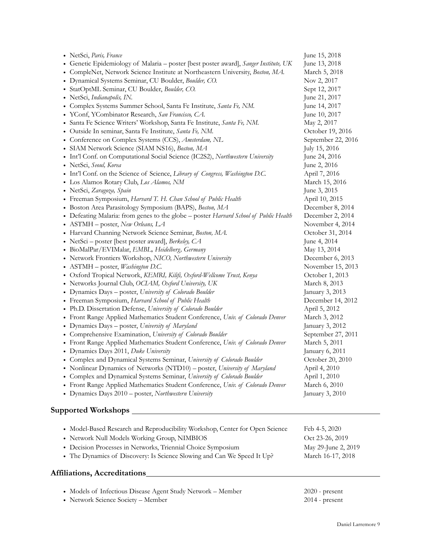| • NetSci, Paris, France                                                               | June 15, 2018       |
|---------------------------------------------------------------------------------------|---------------------|
| • Genetic Epidemiology of Malaria - poster [best poster award], Sanger Institute, UK  | June 13, 2018       |
| • CompleNet, Network Science Institute at Northeastern University, Boston, MA.        | March 5, 2018       |
| · Dynamical Systems Seminar, CU Boulder, Boulder, CO.                                 | Nov 2, 2017         |
| · StatOptML Seminar, CU Boulder, Boulder, CO.                                         | Sept 12, 2017       |
| • NetSci, Indianapolis, IN.                                                           | June 21, 2017       |
| • Complex Systems Summer School, Santa Fe Institute, Santa Fe, NM.                    | June 14, 2017       |
| · YConf, YCombinator Research, San Francisco, CA.                                     | June 10, 2017       |
| · Santa Fe Science Writers' Workshop, Santa Fe Institute, Santa Fe, NM.               | May 2, 2017         |
| · Outside In seminar, Santa Fe Institute, Santa Fe, NM.                               | October 19, 2016    |
| • Conference on Complex Systems (CCS), Amsterdam, NL                                  |                     |
|                                                                                       | September 22, 2016  |
| · SIAM Network Science (SIAM NS16), Boston, MA                                        | July 15, 2016       |
| • Int'l Conf. on Computational Social Science (IC2S2), Northwestern University        | June 24, 2016       |
| · NetSci, Seoul, Korea                                                                | June 2, 2016        |
| • Int'l Conf. on the Science of Science, Library of Congress, Washington D.C.         | April 7, 2016       |
| • Los Alamos Rotary Club, Los Alamos, NM                                              | March 15, 2016      |
| · NetSci, Zaragoza, Spain                                                             | June 3, 2015        |
| • Freeman Symposium, Harvard T. H. Chan School of Public Health                       | April 10, 2015      |
| · Boston Area Parasitology Symposium (BAPS), Boston, MA                               | December 8, 2014    |
| • Defeating Malaria: from genes to the globe - poster Harvard School of Public Health | December 2, 2014    |
| • ASTMH - poster, New Orleans, LA                                                     | November 4, 2014    |
| • Harvard Channing Network Science Seminar, Boston, MA.                               | October 31, 2014    |
| • NetSci – poster [best poster award], Berkeley, CA                                   | June 4, 2014        |
| • BioMalPar/EVIMalar, EMBL, Heidelberg, Germany                                       | May 13, 2014        |
| • Network Frontiers Workshop, NICO, Northwestern University                           | December 6, 2013    |
| • ASTMH - poster, Washington D.C.                                                     | November 15, 2013   |
| · Oxford Tropical Network, KEMRI, Kilifi, Oxford-Wellcome Trust, Kenya                | October 1, 2013     |
| • Networks Journal Club, OCIAM, Oxford University, UK                                 | March 8, 2013       |
| • Dynamics Days - poster, University of Colorado Boulder                              | January 3, 2013     |
| • Freeman Symposium, Harvard School of Public Health                                  | December 14, 2012   |
| • Ph.D. Dissertation Defense, University of Colorado Boulder                          | April 5, 2012       |
| • Front Range Applied Mathematics Student Conference, Univ. of Colorado Denver        | March 3, 2012       |
| • Dynamics Days - poster, University of Maryland                                      | January 3, 2012     |
| • Comprehensive Examination, University of Colorado Boulder                           | September 27, 2011  |
| • Front Range Applied Mathematics Student Conference, Univ. of Colorado Denver        | March 5, 2011       |
| • Dynamics Days 2011, Duke University                                                 | January 6, 2011     |
| • Complex and Dynamical Systems Seminar, University of Colorado Boulder               | October 20, 2010    |
| • Nonlinear Dynamics of Networks (NTD10) - poster, University of Maryland             | April 4, 2010       |
| • Complex and Dynamical Systems Seminar, University of Colorado Boulder               | April 1, 2010       |
| • Front Range Applied Mathematics Student Conference, Univ. of Colorado Denver        | March 6, 2010       |
| • Dynamics Days 2010 - poster, Northwestern University                                | January 3, 2010     |
|                                                                                       |                     |
|                                                                                       |                     |
| • Model-Based Research and Reproducibility Workshop, Center for Open Science          | Feb 4-5, 2020       |
| • Network Null Models Working Group, NIMBIOS                                          | Oct 23-26, 2019     |
| • Decision Processes in Networks, Triennial Choice Symposium                          | May 29-June 2, 2019 |
|                                                                                       |                     |
| • The Dynamics of Discovery: Is Science Slowing and Can We Speed It Up?               | March 16-17, 2018   |
| Affiliations, Accreditations_                                                         |                     |
| • Models of Infectious Disease Agent Study Network - Member                           | $2020$ - present    |
| • Network Science Society - Member                                                    | $2014$ - present    |
|                                                                                       |                     |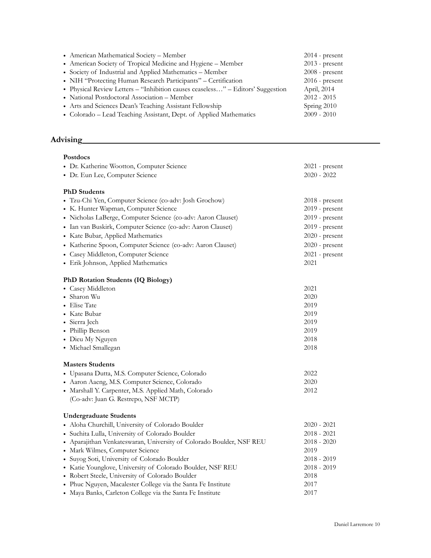| • American Mathematical Society - Member                                        | $2014$ - present |
|---------------------------------------------------------------------------------|------------------|
| • American Society of Tropical Medicine and Hygiene - Member                    | $2013$ - present |
| • Society of Industrial and Applied Mathematics – Member                        | $2008$ - present |
| • NIH "Protecting Human Research Participants" - Certification                  | $2016$ - present |
| • Physical Review Letters - "Inhibition causes ceaseless" - Editors' Suggestion | April, 2014      |
| • National Postdoctoral Association - Member                                    | $2012 - 2015$    |
| • Arts and Sciences Dean's Teaching Assistant Fellowship                        | Spring 2010      |
| • Colorado – Lead Teaching Assistant, Dept. of Applied Mathematics              | $2009 - 2010$    |

# **Advising**

| <b>Postdocs</b>                                                      |                  |
|----------------------------------------------------------------------|------------------|
| • Dr. Katherine Wootton, Computer Science                            | $2021$ - present |
| • Dr. Eun Lee, Computer Science                                      | $2020 - 2022$    |
|                                                                      |                  |
| <b>PhD</b> Students                                                  |                  |
| · Tzu-Chi Yen, Computer Science (co-adv: Josh Grochow)               | $2018$ - present |
| • K. Hunter Wapman, Computer Science                                 | 2019 - present   |
| · Nicholas LaBerge, Computer Science (co-adv: Aaron Clauset)         | $2019$ - present |
| · Ian van Buskirk, Computer Science (co-adv: Aaron Clauset)          | 2019 - present   |
| • Kate Bubar, Applied Mathematics                                    | $2020$ - present |
| · Katherine Spoon, Computer Science (co-adv: Aaron Clauset)          | $2020$ - present |
| • Casey Middleton, Computer Science                                  | $2021$ - present |
| • Erik Johnson, Applied Mathematics                                  | 2021             |
|                                                                      |                  |
| PhD Rotation Students (IQ Biology)                                   |                  |
| • Casey Middleton                                                    | 2021             |
| · Sharon Wu                                                          | 2020             |
| • Elise Tate                                                         | 2019             |
| • Kate Bubar                                                         | 2019             |
| • Sierra Jech                                                        | 2019             |
| • Phillip Benson                                                     | 2019             |
| • Dieu My Nguyen                                                     | 2018             |
| • Michael Smallegan                                                  | 2018             |
| <b>Masters Students</b>                                              |                  |
| · Upasana Dutta, M.S. Computer Science, Colorado                     | 2022             |
| · Aaron Aaeng, M.S. Computer Science, Colorado                       | 2020             |
| · Marshall Y. Carpenter, M.S. Applied Math, Colorado                 | 2012             |
| (Co-adv: Juan G. Restrepo, NSF MCTP)                                 |                  |
|                                                                      |                  |
| <b>Undergraduate Students</b>                                        |                  |
| · Aloha Churchill, University of Colorado Boulder                    | $2020 - 2021$    |
| · Suchita Lulla, University of Colorado Boulder                      | $2018 - 2021$    |
| • Aparajithan Venkateswaran, University of Colorado Boulder, NSF REU | $2018 - 2020$    |
| • Mark Wilmes, Computer Science                                      | 2019             |
| · Suyog Soti, University of Colorado Boulder                         | $2018 - 2019$    |
| • Katie Younglove, University of Colorado Boulder, NSF REU           | 2018 - 2019      |
| • Robert Steele, University of Colorado Boulder                      | 2018             |
| • Phuc Nguyen, Macalester College via the Santa Fe Institute         | 2017             |
| • Maya Banks, Carleton College via the Santa Fe Institute            | 2017             |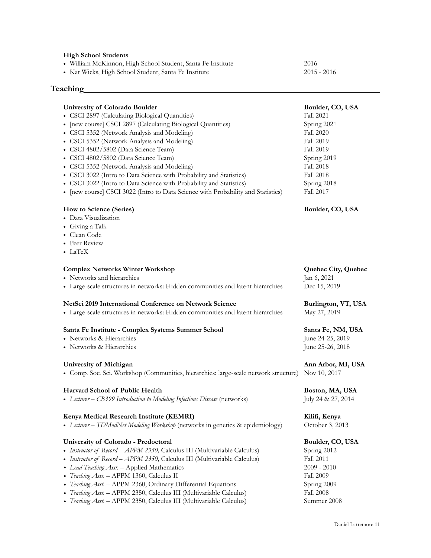#### **High School Students**

**Teaching**

- William McKinnon, High School Student, Santa Fe Institute 2016
- Kat Wicks, High School Student, Santa Fe Institute 2015 2016

# **University of Colorado Boulder Boulder, CO, USA** • CSCI 2897 (Calculating Biological Quantities) Fall 2021 • [new course] CSCI 2897 (Calculating Biological Quantities) Spring 2021 • CSCI 5352 (Network Analysis and Modeling) Fall 2020 • CSCI 5352 (Network Analysis and Modeling) Fall 2019 • CSCI 4802/5802 (Data Science Team) Fall 2019 • CSCI 4802/5802 (Data Science Team) Spring 2019<br>
• CSCI 5352 (Network Analysis and Modeling) Fall 2018 • CSCI 5352 (Network Analysis and Modeling) • CSCI 3022 (Intro to Data Science with Probability and Statistics) Fall 2018 • CSCI 3022 (Intro to Data Science with Probability and Statistics) Spring 2018 • [new course] CSCI 3022 (Intro to Data Science with Probability and Statistics) Fall 2017 **How to Science (Series) Boulder, CO, USA** • Data Visualization • Giving a Talk • Clean Code • Peer Review • LaTeX **Complex Networks Winter Workshop <b>Quebec City, Quebec** City, Quebec • Networks and hierarchies Jan 6, 2021 • Large-scale structures in networks: Hidden communities and latent hierarchies Dec 15, 2019 NetSci 2019 International Conference on Network Science **Burlington, VT, USA** • Large-scale structures in networks: Hidden communities and latent hierarchies May 27, 2019 **Santa Fe Institute - Complex Systems Summer School Santa Fe, NM, USA** • Networks & Hierarchies June 24-25, 2019 • Networks & Hierarchies June 25-26, 2018 **University of Michigan Ann Arbor, MI, USA** • Comp. Soc. Sci. Workshop (Communities, hierarchies: large-scale network structure) Nov 10, 2017 **Harvard School of Public Health Boston, MA, USA** • *Lecturer – CB399 Introduction to Modeling Infectious Disease* (networks) July 24 & 27, 2014 **Kenya Medical Research Institute (KEMRI) Kilifi, Kenya** • *Lecturer – TDModNet Modeling Workshop* (networks in genetics & epidemiology) October 3, 2013 **University of Colorado - Predoctoral Boulder, CO, USA** • *Instructor of Record – APPM 2350*, Calculus III (Multivariable Calculus) Spring 2012 • *Instructor of Record – APPM 2350,* Calculus III (Multivariable Calculus) Fall 2011 *• Lead Teaching Asst.* – Applied Mathematics 2009 - 2010 • *Teaching Asst.* – APPM 1360, Calculus II Fall 2009 • *Teaching Asst.* – APPM 2360, Ordinary Differential Equations Spring 2009<br>• *Teaching Asst.* – APPM 2350, Calculus III (Multivariable Calculus) Fall 2008 • *Teaching Asst.* – APPM 2350, Calculus III (Multivariable Calculus)

- *• Teaching Asst.* APPM 2350, Calculus III (Multivariable Calculus) Summer 2008
	- Daniel Larremore 11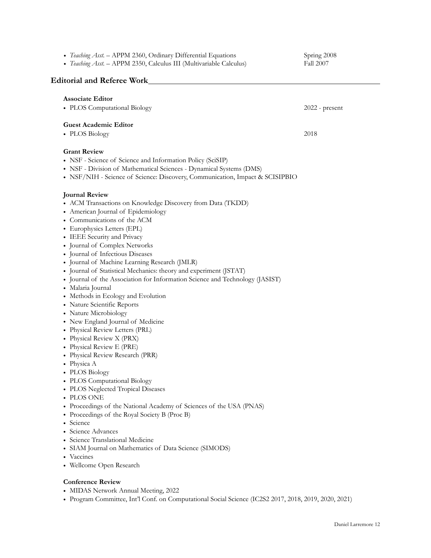*• Teaching Asst.* – APPM 2360, Ordinary Differential Equations Spring 2008 • *Teaching Asst.* – APPM 2350, Calculus III (Multivariable Calculus) Fall 2007 **Editorial and Referee Work Associate Editor** • PLOS Computational Biology 2022 - present **Guest Academic Editor** • PLOS Biology 2018 **Grant Review** • NSF - Science of Science and Information Policy (SciSIP) • NSF - Division of Mathematical Sciences - Dynamical Systems (DMS) • NSF/NIH - Science of Science: Discovery, Communication, Impact & SCISIPBIO **Journal Review** • ACM Transactions on Knowledge Discovery from Data (TKDD) • American Journal of Epidemiology • Communications of the ACM • Europhysics Letters (EPL) • IEEE Security and Privacy • Journal of Complex Networks • Journal of Infectious Diseases • Journal of Machine Learning Research (JMLR) • Journal of Statistical Mechanics: theory and experiment (JSTAT) • Journal of the Association for Information Science and Technology (JASIST) • Malaria Journal • Methods in Ecology and Evolution • Nature Scientific Reports • Nature Microbiology • New England Journal of Medicine • Physical Review Letters (PRL) • Physical Review X (PRX) • Physical Review E (PRE) • Physical Review Research (PRR) • Physica A • PLOS Biology • PLOS Computational Biology • PLOS Neglected Tropical Diseases • PLOS ONE • Proceedings of the National Academy of Sciences of the USA (PNAS) • Proceedings of the Royal Society B (Proc B) • Science • Science Advances • Science Translational Medicine • SIAM Journal on Mathematics of Data Science (SIMODS) • Vaccines • Wellcome Open Research **Conference Review** • MIDAS Network Annual Meeting, 2022 • Program Committee, Int'l Conf. on Computational Social Science (IC2S2 2017, 2018, 2019, 2020, 2021)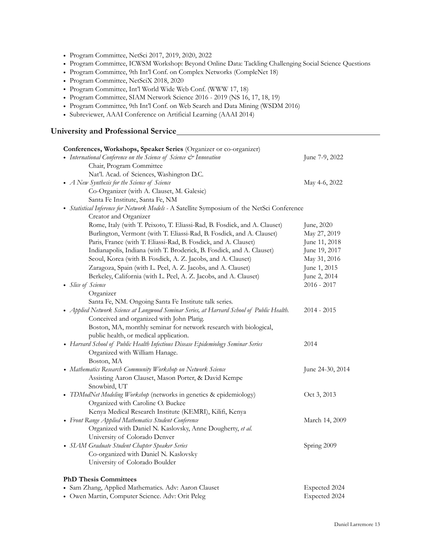- Program Committee, NetSci 2017, 2019, 2020, 2022
- Program Committee, ICWSM Workshop: Beyond Online Data: Tackling Challenging Social Science Questions
- Program Committee, 9th Int'l Conf. on Complex Networks (CompleNet 18)
- Program Committee, NetSciX 2018, 2020
- Program Committee, Int'l World Wide Web Conf. (WWW 17, 18)
- Program Committee, SIAM Network Science 2016 2019 (NS 16, 17, 18, 19)
- Program Committee, 9th Int'l Conf. on Web Search and Data Mining (WSDM 2016)
- Subreviewer, AAAI Conference on Artificial Learning (AAAI 2014)

## **University and Professional Service**

| Conferences, Workshops, Speaker Series (Organizer or co-organizer)                          |                  |
|---------------------------------------------------------------------------------------------|------------------|
| • International Conference on the Science of Science & Innovation                           | June 7-9, 2022   |
| Chair, Program Committee                                                                    |                  |
| Nat'l. Acad. of Sciences, Washington D.C.                                                   |                  |
| • A New Synthesis for the Science of Science                                                | May 4-6, 2022    |
| Co-Organizer (with A. Clauset, M. Galesic)                                                  |                  |
| Santa Fe Institute, Santa Fe, NM                                                            |                  |
| • Statistical Inference for Network Models - A Satellite Symposium of the NetSci Conference |                  |
| Creator and Organizer                                                                       |                  |
| Rome, Italy (with T. Peixoto, T. Eliassi-Rad, B. Fosdick, and A. Clauset)                   | June, 2020       |
| Burlington, Vermont (with T. Eliassi-Rad, B. Fosdick, and A. Clauset)                       | May 27, 2019     |
| Paris, France (with T. Eliassi-Rad, B. Fosdick, and A. Clauset)                             | June 11, 2018    |
| Indianapolis, Indiana (with T. Broderick, B. Fosdick, and A. Clauset)                       | June 19, 2017    |
| Seoul, Korea (with B. Fosdick, A. Z. Jacobs, and A. Clauset)                                | May 31, 2016     |
| Zaragoza, Spain (with L. Peel, A. Z. Jacobs, and A. Clauset)                                | June 1, 2015     |
| Berkeley, California (with L. Peel, A. Z. Jacobs, and A. Clauset)                           | June 2, 2014     |
| • Slice of Science                                                                          | $2016 - 2017$    |
| Organizer                                                                                   |                  |
| Santa Fe, NM. Ongoing Santa Fe Institute talk series.                                       |                  |
| • Applied Network Science at Longwood Seminar Series, at Harvard School of Public Health.   | $2014 - 2015$    |
| Conceived and organized with John Platig.                                                   |                  |
| Boston, MA, monthly seminar for network research with biological,                           |                  |
| public health, or medical application.                                                      |                  |
| • Harvard School of Public Health Infectious Disease Epidemiology Seminar Series            | 2014             |
| Organized with William Hanage.                                                              |                  |
| Boston, MA                                                                                  |                  |
| • Mathematics Research Community Workshop on Network Science                                | June 24-30, 2014 |
| Assisting Aaron Clauset, Mason Porter, & David Kempe                                        |                  |
| Snowbird, UT                                                                                |                  |
| • TDModNet Modeling Workshop (networks in genetics & epidemiology)                          | Oct 3, 2013      |
| Organized with Caroline O. Buckee                                                           |                  |
| Kenya Medical Research Institute (KEMRI), Kilifi, Kenya                                     |                  |
| • Front Range Applied Mathematics Student Conference                                        | March 14, 2009   |
| Organized with Daniel N. Kaslovsky, Anne Dougherty, et al.                                  |                  |
| University of Colorado Denver                                                               |                  |
| • SIAM Graduate Student Chapter Speaker Series                                              | Spring 2009      |
| Co-organized with Daniel N. Kaslovsky                                                       |                  |
| University of Colorado Boulder                                                              |                  |
| <b>PhD Thesis Committees</b>                                                                |                  |
| • Sam Zhang, Applied Mathematics. Adv: Aaron Clauset                                        | Expected 2024    |
| · Owen Martin, Computer Science. Adv: Orit Peleg                                            | Expected 2024    |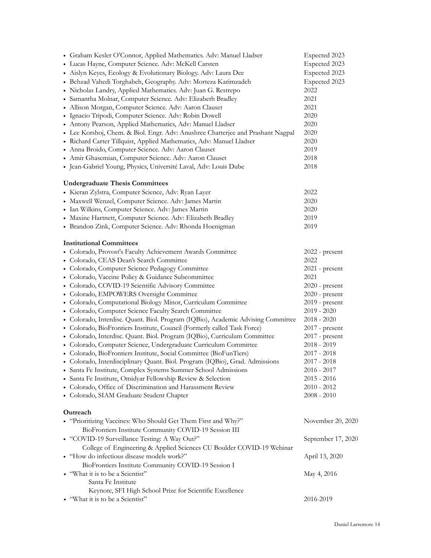| • Graham Kesler O'Connor, Applied Mathematics. Adv: Manuel Lladser<br>• Lucas Hayne, Computer Science. Adv: McKell Carsten<br>· Aislyn Keyes, Ecology & Evolutionary Biology. Adv: Laura Dee<br>· Behzad Vahedi Torghabeh, Geography. Adv: Morteza Karimzadeh<br>· Nicholas Landry, Applied Mathematics. Adv: Juan G. Restrepo<br>· Samantha Molnar, Computer Science. Adv: Elizabeth Bradley<br>· Allison Morgan, Computer Science. Adv: Aaron Clauset<br>· Ignacio Tripodi, Computer Science. Adv: Robin Dowell<br>• Antony Pearson, Applied Mathematics, Adv: Manuel Lladser<br>• Lee Korshoj, Chem. & Biol. Engr. Adv: Anushree Chatterjee and Prashant Nagpal<br>• Richard Carter Tillquist, Applied Mathematics, Adv: Manuel Lladser<br>· Anna Broido, Computer Science. Adv: Aaron Clauset<br>• Amir Ghasemian, Computer Science. Adv: Aaron Clauset<br>· Jean-Gabriel Young, Physics, Université Laval, Adv: Louis Dube                                                                                                                                                                                                                                                                   | Expected 2023<br>Expected 2023<br>Expected 2023<br>Expected 2023<br>2022<br>2021<br>2021<br>2020<br>2020<br>2020<br>2020<br>2019<br>2018<br>2018                                                                                                                                                            |
|---------------------------------------------------------------------------------------------------------------------------------------------------------------------------------------------------------------------------------------------------------------------------------------------------------------------------------------------------------------------------------------------------------------------------------------------------------------------------------------------------------------------------------------------------------------------------------------------------------------------------------------------------------------------------------------------------------------------------------------------------------------------------------------------------------------------------------------------------------------------------------------------------------------------------------------------------------------------------------------------------------------------------------------------------------------------------------------------------------------------------------------------------------------------------------------------------|-------------------------------------------------------------------------------------------------------------------------------------------------------------------------------------------------------------------------------------------------------------------------------------------------------------|
| <b>Undergraduate Thesis Committees</b><br>· Kieran Zylstra, Computer Science, Adv: Ryan Layer<br>· Maxwell Wenzel, Computer Science. Adv: James Martin<br>· Ian Wilkins, Computer Science. Adv: James Martin<br>· Maxine Hartnett, Computer Science. Adv: Elizabeth Bradley<br>· Brandon Zink, Computer Science. Adv: Rhonda Hoenigman                                                                                                                                                                                                                                                                                                                                                                                                                                                                                                                                                                                                                                                                                                                                                                                                                                                            | 2022<br>2020<br>2020<br>2019<br>2019                                                                                                                                                                                                                                                                        |
| <b>Institutional Committees</b><br>• Colorado, Provost's Faculty Achievement Awards Committee<br>• Colorado, CEAS Dean's Search Committee<br>• Colorado, Computer Science Pedagogy Committee<br>• Colorado, Vaccine Policy & Guidance Subcommittee<br>• Colorado, COVID-19 Scientific Advisory Committee<br>• Colorado, EMPOWERS Oversight Committee<br>• Colorado, Computational Biology Minor, Curriculum Committee<br>• Colorado, Computer Science Faculty Search Committee<br>• Colorado, Interdisc. Quant. Biol. Program (IQBio), Academic Advising Committee<br>• Colorado, BioFrontiers Institute, Council (Formerly called Task Force)<br>• Colorado, Interdisc. Quant. Biol. Program (IQBio), Curriculum Committee<br>• Colorado, Computer Science, Undergraduate Curriculum Committee<br>• Colorado, BioFrontiers Institute, Social Committee (BioFunTiers)<br>• Colorado, Interdisciplinary Quant. Biol. Program (IQBio), Grad. Admissions<br>• Santa Fe Institute, Complex Systems Summer School Admissions<br>· Santa Fe Institute, Omidyar Fellowship Review & Selection<br>• Colorado, Office of Discrimination and Harassment Review<br>• Colorado, SIAM Graduate Student Chapter | $2022$ - present<br>2022<br>$2021$ - present<br>2021<br>$2020$ - present<br>2020 - present<br>2019 - present<br>$2019 - 2020$<br>$2018 - 2020$<br>$2017$ - present<br>$2017$ - present<br>$2018 - 2019$<br>$2017 - 2018$<br>$2017 - 2018$<br>2016 - 2017<br>$2015 - 2016$<br>$2010 - 2012$<br>$2008 - 2010$ |
| Outreach<br>• "Prioritizing Vaccines: Who Should Get Them First and Why?"<br>BioFrontiers Institute Community COVID-19 Session III<br>• "COVID-19 Surveillance Testing: A Way Out?"<br>College of Engineering & Applied Sciences CU Boulder COVID-19 Webinar<br>• "How do infectious disease models work?"<br>BioFrontiers Institute Community COVID-19 Session I<br>• "What it is to be a Scientist"<br>Santa Fe Institute                                                                                                                                                                                                                                                                                                                                                                                                                                                                                                                                                                                                                                                                                                                                                                       | November 20, 2020<br>September 17, 2020<br>April 13, 2020<br>May 4, 2016                                                                                                                                                                                                                                    |
| Keynote, SFI High School Prize for Scientific Excellence<br>• "What it is to be a Scientist"                                                                                                                                                                                                                                                                                                                                                                                                                                                                                                                                                                                                                                                                                                                                                                                                                                                                                                                                                                                                                                                                                                      | 2016-2019                                                                                                                                                                                                                                                                                                   |